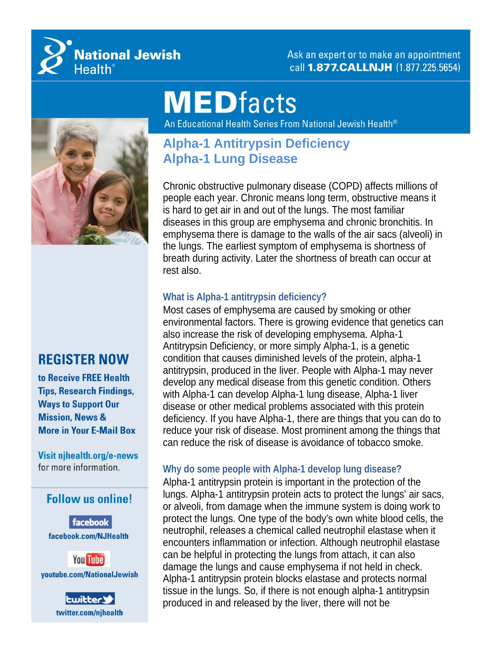

Ask an expert or to make an appointment call 1.877. CALLNJH (1.877.225.5654)

# **MEDfacts**

An Educational Health Series From National Jewish Health®



## **REGISTER NOW**

to Receive FREE Health **Tips, Research Findings, Ways to Support Our Mission, News & More in Your E-Mail Box** 

Visit njhealth.org/e-news for more information.

### **Follow us online!**

facebook facebook.com/NJHealth





## **Alpha-1 Antitrypsin Deficiency Alpha-1 Lung Disease**

Chronic obstructive pulmonary disease (COPD) affects millions of people each year. Chronic means long term, obstructive means it is hard to get air in and out of the lungs. The most familiar diseases in this group are emphysema and chronic bronchitis. In emphysema there is damage to the walls of the air sacs (alveoli) in the lungs. The earliest symptom of emphysema is shortness of breath during activity. Later the shortness of breath can occur at rest also.

#### **What is Alpha-1 antitrypsin deficiency?**

Most cases of emphysema are caused by smoking or other environmental factors. There is growing evidence that genetics can also increase the risk of developing emphysema. Alpha-1 Antitrypsin Deficiency, or more simply Alpha-1, is a genetic condition that causes diminished levels of the protein, alpha-1 antitrypsin, produced in the liver. People with Alpha-1 may never develop any medical disease from this genetic condition. Others with Alpha-1 can develop Alpha-1 lung disease, Alpha-1 liver disease or other medical problems associated with this protein deficiency. If you have Alpha-1, there are things that you can do to reduce your risk of disease. Most prominent among the things that can reduce the risk of disease is avoidance of tobacco smoke.

#### **Why do some people with Alpha-1 develop lung disease?**

Alpha-1 antitrypsin protein is important in the protection of the lungs. Alpha-1 antitrypsin protein acts to protect the lungs' air sacs, or alveoli, from damage when the immune system is doing work to protect the lungs. One type of the body's own white blood cells, the neutrophil, releases a chemical called neutrophil elastase when it encounters inflammation or infection. Although neutrophil elastase can be helpful in protecting the lungs from attach, it can also damage the lungs and cause emphysema if not held in check. Alpha-1 antitrypsin protein blocks elastase and protects normal tissue in the lungs. So, if there is not enough alpha-1 antitrypsin produced in and released by the liver, there will not be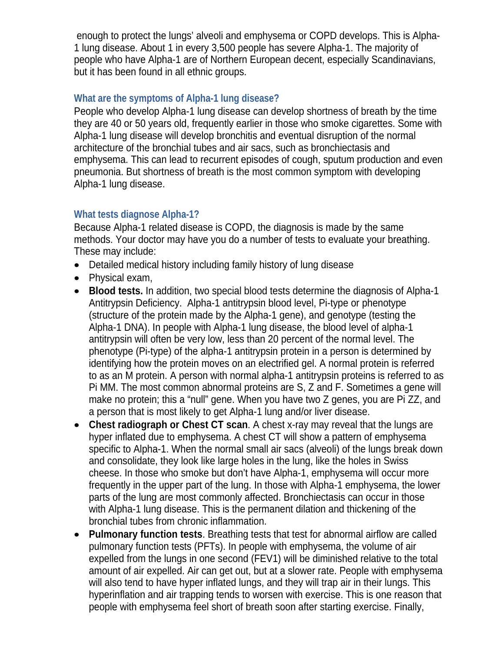enough to protect the lungs' alveoli and emphysema or COPD develops. This is Alpha-1 lung disease. About 1 in every 3,500 people has severe Alpha-1. The majority of people who have Alpha-1 are of Northern European decent, especially Scandinavians, but it has been found in all ethnic groups.

#### **What are the symptoms of Alpha-1 lung disease?**

People who develop Alpha-1 lung disease can develop shortness of breath by the time they are 40 or 50 years old, frequently earlier in those who smoke cigarettes. Some with Alpha-1 lung disease will develop bronchitis and eventual disruption of the normal architecture of the bronchial tubes and air sacs, such as bronchiectasis and emphysema. This can lead to recurrent episodes of cough, sputum production and even pneumonia. But shortness of breath is the most common symptom with developing Alpha-1 lung disease.

#### **What tests diagnose Alpha-1?**

Because Alpha-1 related disease is COPD, the diagnosis is made by the same methods. Your doctor may have you do a number of tests to evaluate your breathing. These may include:

- Detailed medical history including family history of lung disease
- Physical exam,
- **Blood tests.** In addition, two special blood tests determine the diagnosis of Alpha-1 Antitrypsin Deficiency. Alpha-1 antitrypsin blood level, Pi-type or phenotype (structure of the protein made by the Alpha-1 gene), and genotype (testing the Alpha-1 DNA). In people with Alpha-1 lung disease, the blood level of alpha-1 antitrypsin will often be very low, less than 20 percent of the normal level. The phenotype (Pi-type) of the alpha-1 antitrypsin protein in a person is determined by identifying how the protein moves on an electrified gel. A normal protein is referred to as an M protein. A person with normal alpha-1 antitrypsin proteins is referred to as Pi MM. The most common abnormal proteins are S, Z and F. Sometimes a gene will make no protein; this a "null" gene. When you have two Z genes, you are Pi ZZ, and a person that is most likely to get Alpha-1 lung and/or liver disease.
- **Chest radiograph or Chest CT scan**. A chest x-ray may reveal that the lungs are hyper inflated due to emphysema. A chest CT will show a pattern of emphysema specific to Alpha-1. When the normal small air sacs (alveoli) of the lungs break down and consolidate, they look like large holes in the lung, like the holes in Swiss cheese. In those who smoke but don't have Alpha-1, emphysema will occur more frequently in the upper part of the lung. In those with Alpha-1 emphysema, the lower parts of the lung are most commonly affected. Bronchiectasis can occur in those with Alpha-1 lung disease. This is the permanent dilation and thickening of the bronchial tubes from chronic inflammation.
- **Pulmonary function tests**. Breathing tests that test for abnormal airflow are called pulmonary function tests (PFTs). In people with emphysema, the volume of air expelled from the lungs in one second (FEV1) will be diminished relative to the total amount of air expelled. Air can get out, but at a slower rate. People with emphysema will also tend to have hyper inflated lungs, and they will trap air in their lungs. This hyperinflation and air trapping tends to worsen with exercise. This is one reason that people with emphysema feel short of breath soon after starting exercise. Finally,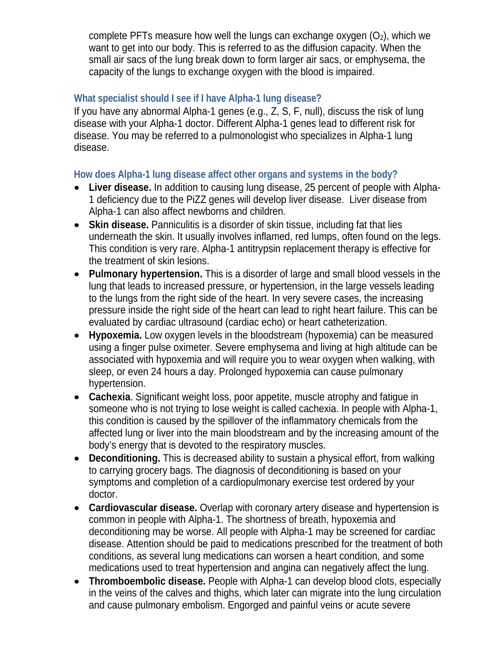complete PFTs measure how well the lungs can exchange oxygen  $(O_2)$ , which we want to get into our body. This is referred to as the diffusion capacity. When the small air sacs of the lung break down to form larger air sacs, or emphysema, the capacity of the lungs to exchange oxygen with the blood is impaired.

#### **What specialist should I see if I have Alpha-1 lung disease?**

If you have any abnormal Alpha-1 genes (e.g., Z, S, F, null), discuss the risk of lung disease with your Alpha-1 doctor. Different Alpha-1 genes lead to different risk for disease. You may be referred to a pulmonologist who specializes in Alpha-1 lung disease.

#### **How does Alpha-1 lung disease affect other organs and systems in the body?**

- **Liver disease.** In addition to causing lung disease, 25 percent of people with Alpha-1 deficiency due to the PiZZ genes will develop liver disease. Liver disease from Alpha-1 can also affect newborns and children.
- **Skin disease.** Panniculitis is a disorder of skin tissue, including fat that lies underneath the skin. It usually involves inflamed, red lumps, often found on the legs. This condition is very rare. Alpha-1 antitrypsin replacement therapy is effective for the treatment of skin lesions.
- **Pulmonary hypertension.** This is a disorder of large and small blood vessels in the lung that leads to increased pressure, or hypertension, in the large vessels leading to the lungs from the right side of the heart. In very severe cases, the increasing pressure inside the right side of the heart can lead to right heart failure. This can be evaluated by cardiac ultrasound (cardiac echo) or heart catheterization.
- **Hypoxemia.** Low oxygen levels in the bloodstream (hypoxemia) can be measured using a finger pulse oximeter. Severe emphysema and living at high altitude can be associated with hypoxemia and will require you to wear oxygen when walking, with sleep, or even 24 hours a day. Prolonged hypoxemia can cause pulmonary hypertension.
- **Cachexia**. Significant weight loss, poor appetite, muscle atrophy and fatigue in someone who is not trying to lose weight is called cachexia. In people with Alpha-1, this condition is caused by the spillover of the inflammatory chemicals from the affected lung or liver into the main bloodstream and by the increasing amount of the body's energy that is devoted to the respiratory muscles.
- **Deconditioning.** This is decreased ability to sustain a physical effort, from walking to carrying grocery bags. The diagnosis of deconditioning is based on your symptoms and completion of a cardiopulmonary exercise test ordered by your doctor.
- **Cardiovascular disease.** Overlap with coronary artery disease and hypertension is common in people with Alpha-1. The shortness of breath, hypoxemia and deconditioning may be worse. All people with Alpha-1 may be screened for cardiac disease. Attention should be paid to medications prescribed for the treatment of both conditions, as several lung medications can worsen a heart condition, and some medications used to treat hypertension and angina can negatively affect the lung.
- **Thromboembolic disease.** People with Alpha-1 can develop blood clots, especially in the veins of the calves and thighs, which later can migrate into the lung circulation and cause pulmonary embolism. Engorged and painful veins or acute severe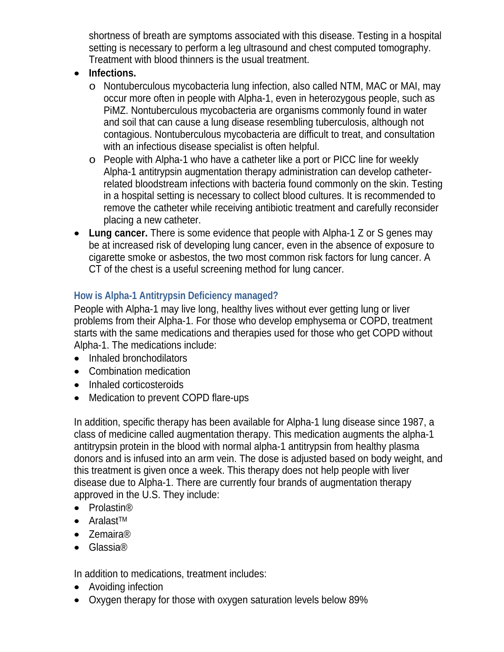shortness of breath are symptoms associated with this disease. Testing in a hospital setting is necessary to perform a leg ultrasound and chest computed tomography. Treatment with blood thinners is the usual treatment.

- Infections.
	- o Nontuberculous mycobacteria lung infection, also called NTM, MAC or MAI, may occur more often in people with Alpha-1, even in heterozygous people, such as PiMZ. Nontuberculous mycobacteria are organisms commonly found in water and soil that can cause a lung disease resembling tuberculosis, although not contagious. Nontuberculous mycobacteria are difficult to treat, and consultation with an infectious disease specialist is often helpful.
	- o People with Alpha-1 who have a catheter like a port or PICC line for weekly Alpha-1 antitrypsin augmentation therapy administration can develop catheterrelated bloodstream infections with bacteria found commonly on the skin. Testing in a hospital setting is necessary to collect blood cultures. It is recommended to remove the catheter while receiving antibiotic treatment and carefully reconsider placing a new catheter.
- **Lung cancer.** There is some evidence that people with Alpha-1 Z or S genes may be at increased risk of developing lung cancer, even in the absence of exposure to cigarette smoke or asbestos, the two most common risk factors for lung cancer. A CT of the chest is a useful screening method for lung cancer.

#### **How is Alpha-1 Antitrypsin Deficiency managed?**

People with Alpha-1 may live long, healthy lives without ever getting lung or liver problems from their Alpha-1. For those who develop emphysema or COPD, treatment starts with the same medications and therapies used for those who get COPD without Alpha-1. The medications include:

- Inhaled bronchodilators
- Combination medication
- Inhaled corticosteroids
- Medication to prevent COPD flare-ups

In addition, specific therapy has been available for Alpha-1 lung disease since 1987, a class of medicine called augmentation therapy. This medication augments the alpha-1 antitrypsin protein in the blood with normal alpha-1 antitrypsin from healthy plasma donors and is infused into an arm vein. The dose is adjusted based on body weight, and this treatment is given once a week. This therapy does not help people with liver disease due to Alpha-1. There are currently four brands of augmentation therapy approved in the U.S. They include:

- Prolastin<sup>®</sup>
- Aralast<sup>TM</sup>
- Zemaira<sup>®</sup>
- Glassia<sup>®</sup>

In addition to medications, treatment includes:

- Avoiding infection
- Oxygen therapy for those with oxygen saturation levels below 89%